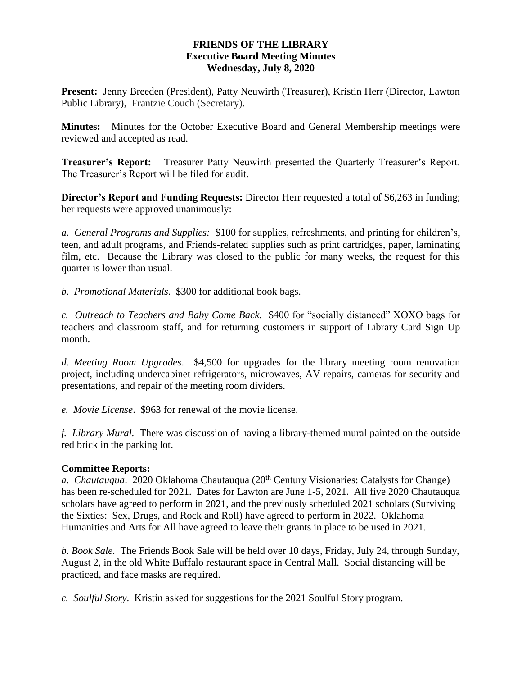## **FRIENDS OF THE LIBRARY Executive Board Meeting Minutes Wednesday, July 8, 2020**

**Present:** Jenny Breeden (President), Patty Neuwirth (Treasurer), Kristin Herr (Director, Lawton Public Library), Frantzie Couch (Secretary).

**Minutes:** Minutes for the October Executive Board and General Membership meetings were reviewed and accepted as read.

**Treasurer's Report:** Treasurer Patty Neuwirth presented the Quarterly Treasurer's Report. The Treasurer's Report will be filed for audit.

**Director's Report and Funding Requests:** Director Herr requested a total of \$6,263 in funding; her requests were approved unanimously:

*a. General Programs and Supplies:* \$100 for supplies, refreshments, and printing for children's, teen, and adult programs, and Friends-related supplies such as print cartridges, paper, laminating film, etc. Because the Library was closed to the public for many weeks, the request for this quarter is lower than usual.

*b. Promotional Materials*. \$300 for additional book bags.

*c. Outreach to Teachers and Baby Come Back*. \$400 for "socially distanced" XOXO bags for teachers and classroom staff, and for returning customers in support of Library Card Sign Up month.

*d. Meeting Room Upgrades*. \$4,500 for upgrades for the library meeting room renovation project, including undercabinet refrigerators, microwaves, AV repairs, cameras for security and presentations, and repair of the meeting room dividers.

*e. Movie License*. \$963 for renewal of the movie license.

*f. Library Mural.* There was discussion of having a library-themed mural painted on the outside red brick in the parking lot.

## **Committee Reports:**

*a. Chautauqua.* 2020 Oklahoma Chautauqua (20<sup>th</sup> Century Visionaries: Catalysts for Change) has been re-scheduled for 2021. Dates for Lawton are June 1-5, 2021. All five 2020 Chautauqua scholars have agreed to perform in 2021, and the previously scheduled 2021 scholars (Surviving the Sixties: Sex, Drugs, and Rock and Roll) have agreed to perform in 2022. Oklahoma Humanities and Arts for All have agreed to leave their grants in place to be used in 2021.

*b. Book Sale.* The Friends Book Sale will be held over 10 days, Friday, July 24, through Sunday, August 2, in the old White Buffalo restaurant space in Central Mall. Social distancing will be practiced, and face masks are required.

*c. Soulful Story*. Kristin asked for suggestions for the 2021 Soulful Story program.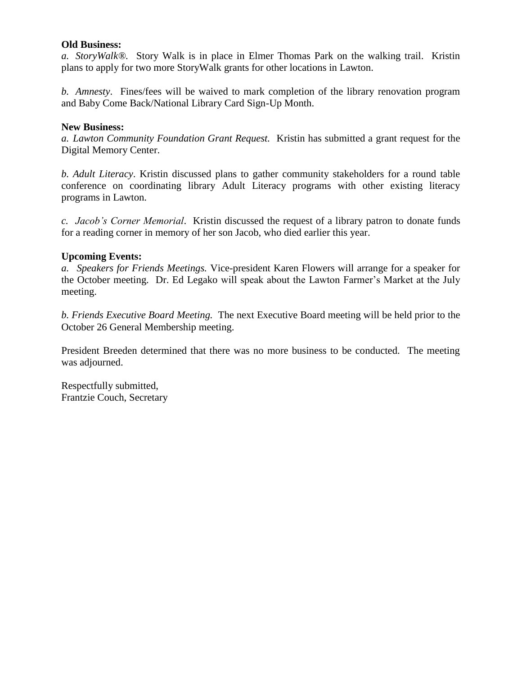## **Old Business:**

*a. StoryWalk®.* Story Walk is in place in Elmer Thomas Park on the walking trail. Kristin plans to apply for two more StoryWalk grants for other locations in Lawton.

*b. Amnesty*. Fines/fees will be waived to mark completion of the library renovation program and Baby Come Back/National Library Card Sign-Up Month.

#### **New Business:**

*a. Lawton Community Foundation Grant Request.* Kristin has submitted a grant request for the Digital Memory Center.

*b. Adult Literacy*. Kristin discussed plans to gather community stakeholders for a round table conference on coordinating library Adult Literacy programs with other existing literacy programs in Lawton.

*c. Jacob's Corner Memorial*. Kristin discussed the request of a library patron to donate funds for a reading corner in memory of her son Jacob, who died earlier this year.

#### **Upcoming Events:**

*a. Speakers for Friends Meetings.* Vice-president Karen Flowers will arrange for a speaker for the October meeting. Dr. Ed Legako will speak about the Lawton Farmer's Market at the July meeting.

*b. Friends Executive Board Meeting.* The next Executive Board meeting will be held prior to the October 26 General Membership meeting.

President Breeden determined that there was no more business to be conducted. The meeting was adjourned.

Respectfully submitted, Frantzie Couch, Secretary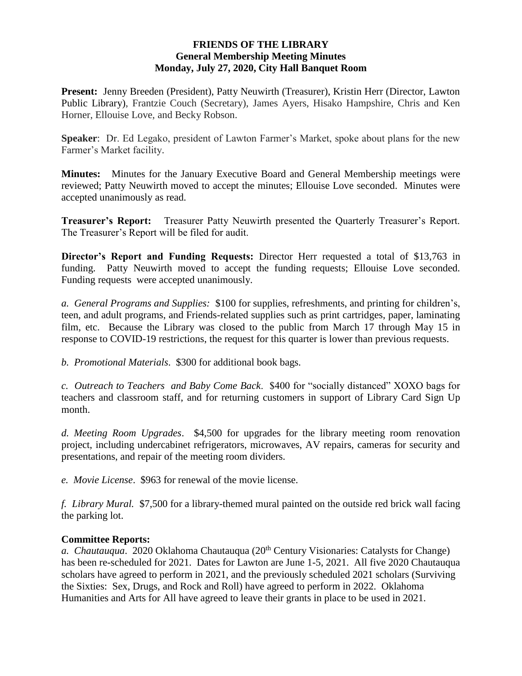## **FRIENDS OF THE LIBRARY General Membership Meeting Minutes Monday, July 27, 2020, City Hall Banquet Room**

**Present:** Jenny Breeden (President), Patty Neuwirth (Treasurer), Kristin Herr (Director, Lawton Public Library), Frantzie Couch (Secretary), James Ayers, Hisako Hampshire, Chris and Ken Horner, Ellouise Love, and Becky Robson.

**Speaker**: Dr. Ed Legako, president of Lawton Farmer's Market, spoke about plans for the new Farmer's Market facility.

**Minutes:** Minutes for the January Executive Board and General Membership meetings were reviewed; Patty Neuwirth moved to accept the minutes; Ellouise Love seconded. Minutes were accepted unanimously as read.

**Treasurer's Report:** Treasurer Patty Neuwirth presented the Quarterly Treasurer's Report. The Treasurer's Report will be filed for audit.

**Director's Report and Funding Requests:** Director Herr requested a total of \$13,763 in funding. Patty Neuwirth moved to accept the funding requests; Ellouise Love seconded. Funding requests were accepted unanimously.

*a. General Programs and Supplies:* \$100 for supplies, refreshments, and printing for children's, teen, and adult programs, and Friends-related supplies such as print cartridges, paper, laminating film, etc. Because the Library was closed to the public from March 17 through May 15 in response to COVID-19 restrictions, the request for this quarter is lower than previous requests.

*b. Promotional Materials*. \$300 for additional book bags.

*c. Outreach to Teachers and Baby Come Back*. \$400 for "socially distanced" XOXO bags for teachers and classroom staff, and for returning customers in support of Library Card Sign Up month.

*d. Meeting Room Upgrades*. \$4,500 for upgrades for the library meeting room renovation project, including undercabinet refrigerators, microwaves, AV repairs, cameras for security and presentations, and repair of the meeting room dividers.

*e. Movie License*. \$963 for renewal of the movie license.

*f. Library Mural.* \$7,500 for a library-themed mural painted on the outside red brick wall facing the parking lot.

# **Committee Reports:**

*a. Chautauqua.* 2020 Oklahoma Chautauqua (20<sup>th</sup> Century Visionaries: Catalysts for Change) has been re-scheduled for 2021. Dates for Lawton are June 1-5, 2021. All five 2020 Chautauqua scholars have agreed to perform in 2021, and the previously scheduled 2021 scholars (Surviving the Sixties: Sex, Drugs, and Rock and Roll) have agreed to perform in 2022. Oklahoma Humanities and Arts for All have agreed to leave their grants in place to be used in 2021.